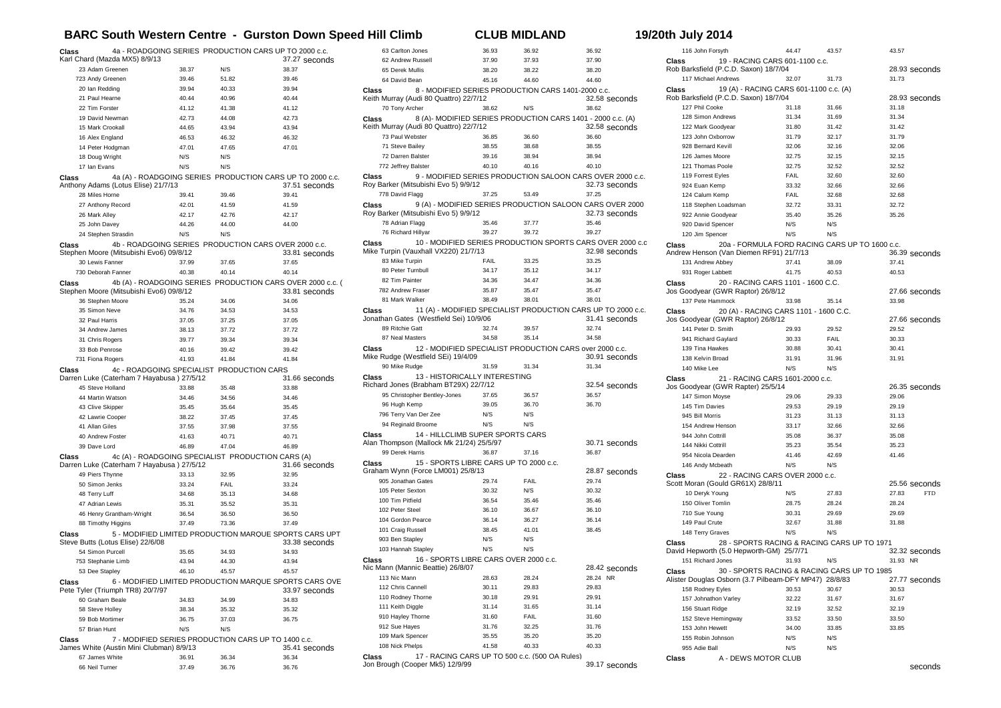## **BARC South Western Centre - Gurston Down Speed Hill Climb CLUB MIDLAND 19**

|  |  |  | 9/20th July 2014 |  |  |  |
|--|--|--|------------------|--|--|--|
|  |  |  |                  |  |  |  |

| Class |                                                                                         |       |       | 4a - ROADGOING SERIES PRODUCTION CARS UP TO 2000 c.c.                       |  |  |  |
|-------|-----------------------------------------------------------------------------------------|-------|-------|-----------------------------------------------------------------------------|--|--|--|
|       | Karl Chard (Mazda MX5) 8/9/13<br>23 Adam Greenen                                        | 38.37 | N/S   | 37.27 seconds<br>38.37                                                      |  |  |  |
|       | 723 Andy Greenen                                                                        | 39.46 | 51.82 | 39.46                                                                       |  |  |  |
|       | 20 Ian Redding                                                                          | 39.94 | 40.33 | 39.94                                                                       |  |  |  |
|       | 21 Paul Hearne                                                                          | 40.44 | 40.96 | 40.44                                                                       |  |  |  |
|       | 22 Tim Forster                                                                          | 41.12 | 41.38 | 41.12                                                                       |  |  |  |
|       | 19 David Newman                                                                         | 42.73 | 44.08 | 42.73                                                                       |  |  |  |
|       | 15 Mark Crookall                                                                        | 44.65 | 43.94 | 43.94                                                                       |  |  |  |
|       | 16 Alex England                                                                         | 46.53 | 46.32 | 46.32                                                                       |  |  |  |
|       | 14 Peter Hodgman                                                                        | 47.01 | 47.65 | 47.01                                                                       |  |  |  |
|       | 18 Doug Wright                                                                          | N/S   | N/S   |                                                                             |  |  |  |
|       | 17 Ian Evans                                                                            | N/S   | N/S   |                                                                             |  |  |  |
| Class |                                                                                         |       |       | 4a (A) - ROADGOING SERIES PRODUCTION CARS UP TO 2000 c.c.                   |  |  |  |
|       | Anthony Adams (Lotus Elise) 21/7/13                                                     |       |       | 37.51 seconds                                                               |  |  |  |
|       | 28 Miles Horne                                                                          | 39.41 | 39.46 | 39.41                                                                       |  |  |  |
|       | 27 Anthony Record                                                                       | 42.01 | 41.59 | 41.59                                                                       |  |  |  |
|       | 26 Mark Alley                                                                           | 42.17 | 42.76 | 42.17                                                                       |  |  |  |
|       | 25 John Davey                                                                           | 44.26 | 44.00 | 44.00                                                                       |  |  |  |
|       | 24 Stephen Strasdin                                                                     | N/S   | N/S   |                                                                             |  |  |  |
| Class | Stephen Moore (Mitsubishi Evo6) 09/8/12                                                 |       |       | 4b - ROADGOING SERIES PRODUCTION CARS OVER 2000 c.c.<br>33.81 seconds       |  |  |  |
|       | 30 Lewis Fanner                                                                         | 37.99 | 37.65 | 37.65                                                                       |  |  |  |
|       | 730 Deborah Fanner                                                                      | 40.38 | 40.14 | 40.14                                                                       |  |  |  |
| Class | Stephen Moore (Mitsubishi Evo6) 09/8/12                                                 |       |       | 4b (A) - ROADGOING SERIES PRODUCTION CARS OVER 2000 c.c. (<br>33.81 seconds |  |  |  |
|       | 36 Stephen Moore                                                                        | 35.24 | 34.06 | 34.06                                                                       |  |  |  |
|       | 35 Simon Neve                                                                           | 34.76 | 34.53 | 34.53                                                                       |  |  |  |
|       | 32 Paul Harris                                                                          | 37.05 | 37.25 | 37.05                                                                       |  |  |  |
|       | 34 Andrew James                                                                         | 38.13 | 37.72 | 37.72                                                                       |  |  |  |
|       | 31 Chris Rogers                                                                         | 39.77 | 39.34 | 39.34                                                                       |  |  |  |
|       | 33 Bob Penrose                                                                          | 40.16 | 39.42 | 39.42                                                                       |  |  |  |
|       | 731 Fiona Rogers                                                                        | 41.93 | 41.84 | 41.84                                                                       |  |  |  |
| Class | 4c - ROADGOING SPECIALIST PRODUCTION CARS<br>Darren Luke (Caterham 7 Hayabusa ) 27/5/12 |       |       | 31.66 seconds                                                               |  |  |  |
|       | 45 Steve Holland                                                                        | 33.88 | 35.48 | 33.88                                                                       |  |  |  |
|       | 44 Martin Watson                                                                        | 34.46 | 34.56 | 34.46                                                                       |  |  |  |
|       | 43 Clive Skipper                                                                        | 35.45 | 35.64 | 35.45                                                                       |  |  |  |
|       | 42 Lawrie Cooper                                                                        | 38.22 | 37.45 | 37.45                                                                       |  |  |  |
|       | 41 Allan Giles                                                                          | 37.55 | 37.98 | 37.55                                                                       |  |  |  |
|       | 40 Andrew Foster                                                                        | 41.63 | 40.71 | 40.71                                                                       |  |  |  |
|       | 39 Dave Lord                                                                            | 46.89 | 47.04 | 46.89                                                                       |  |  |  |
| Class | Darren Luke (Caterham 7 Hayabusa) 27/5/12                                               |       |       | 4c (A) - ROADGOING SPECIALIST PRODUCTION CARS (A)<br>31.66 seconds          |  |  |  |
|       | 49 Piers Thynne                                                                         | 33.13 | 32.95 | 32.95                                                                       |  |  |  |
|       | 50 Simon Jenks                                                                          | 33.24 | FAIL  | 33.24                                                                       |  |  |  |
|       | 48 Terry Luff                                                                           | 34.68 | 35.13 | 34.68                                                                       |  |  |  |
|       | 47 Adrian Lewis                                                                         | 35.31 | 35.52 | 35.31                                                                       |  |  |  |
|       | 46 Henry Grantham-Wright                                                                | 36.54 | 36.50 | 36.50                                                                       |  |  |  |
|       | 88 Timothy Higgins                                                                      | 37.49 | 73.36 | 37.49                                                                       |  |  |  |
| Class | Steve Butts (Lotus Elise) 22/6/08                                                       |       |       | 5 - MODIFIED LIMITED PRODUCTION MARQUE SPORTS CARS UPT<br>33.38 seconds     |  |  |  |
|       | 54 Simon Purcell                                                                        | 35.65 | 34.93 | 34.93                                                                       |  |  |  |
|       | 753 Stephanie Limb                                                                      | 43.94 | 44.30 | 43.94                                                                       |  |  |  |
|       | 53 Dee Stapley                                                                          | 46.10 | 45.57 | 45.57                                                                       |  |  |  |
| Class | Pete Tyler (Triumph TR8) 20/7/97                                                        |       |       | 6 - MODIFIED LIMITED PRODUCTION MARQUE SPORTS CARS OVE<br>33.97 seconds     |  |  |  |
|       | 60 Graham Beale                                                                         | 34.83 | 34.99 | 34.83                                                                       |  |  |  |
|       | 58 Steve Holley                                                                         | 38.34 | 35.32 | 35.32                                                                       |  |  |  |
|       | 59 Bob Mortimer                                                                         | 36.75 | 37.03 | 36.75                                                                       |  |  |  |
|       | 57 Brian Hunt                                                                           | N/S   | N/S   |                                                                             |  |  |  |
| Class |                                                                                         |       |       | 7 - MODIFIED SERIES PRODUCTION CARS UP TO 1400 c.c.                         |  |  |  |
|       | James White (Austin Mini Clubman) 8/9/13<br>35.41 seconds                               |       |       |                                                                             |  |  |  |
|       | 67 James White                                                                          | 36.91 | 36.34 | 36.34                                                                       |  |  |  |
|       | 66 Neil Turner                                                                          | 37.49 | 36.76 | 36.76                                                                       |  |  |  |

| 63 Carlton Jones                                                  | 36.93       | 36.92                                                        | 36.92         |
|-------------------------------------------------------------------|-------------|--------------------------------------------------------------|---------------|
| 62 Andrew Russell                                                 | 37.90       | 37.93                                                        | 37.90         |
| 65 Derek Mullis                                                   | 38.20       | 38.22                                                        | 38.20         |
| 64 David Bean                                                     | 45.16       | 44.60                                                        | 44.60         |
| 8 - MODIFIED SERIES PRODUCTION CARS 1401-2000 c.c.<br>Class       |             |                                                              |               |
| Keith Murray (Audi 80 Quattro) 22/7/12                            |             |                                                              | 32.58 seconds |
| 70 Tony Archer                                                    | 38.62       | N/S                                                          | 38.62         |
| Class                                                             |             | 8 (A)- MODIFIED SERIES PRODUCTION CARS 1401 - 2000 c.c. (A)  |               |
| Keith Murray (Audi 80 Quattro) 22/7/12                            |             |                                                              | 32.58 seconds |
| 73 Paul Webster                                                   |             | 36.60                                                        | 36.60         |
|                                                                   | 36.85       |                                                              |               |
| 71 Steve Bailey                                                   | 38.55       | 38.68                                                        | 38.55         |
| 72 Darren Balster                                                 | 39.16       | 38.94                                                        | 38.94         |
| 772 Jeffrey Balster                                               | 40.10       | 40.16                                                        | 40.10         |
| Class<br>Roy Barker (Mitsubishi Evo 5) 9/9/12                     |             | 9 - MODIFIED SERIES PRODUCTION SALOON CARS OVER 2000 c.c.    | 32.73 seconds |
| 778 David Flagg                                                   | 37.25       | 53.49                                                        | 37.25         |
| 9 (A) - MODIFIED SERIES PRODUCTION SALOON CARS OVER 2000<br>Class |             |                                                              |               |
| Roy Barker (Mitsubishi Evo 5) 9/9/12                              |             |                                                              | 32.73 seconds |
| 78 Adrian Flagg                                                   | 35.46       | 37.77                                                        | 35.46         |
| 76 Richard Hillyar                                                | 39.27       | 39.72                                                        | 39.27         |
| Class                                                             |             | 10 - MODIFIED SERIES PRODUCTION SPORTS CARS OVER 2000 c.o    |               |
| Mike Turpin (Vauxhall VX220) 21/7/13                              |             |                                                              | 32.98 seconds |
| 83 Mike Turpin                                                    | <b>FAIL</b> | 33.25                                                        | 33.25         |
| 80 Peter Turnbull                                                 | 34.17       | 35.12                                                        | 34.17         |
| 82 Tim Painter                                                    | 34.36       | 34.47                                                        | 34.36         |
| 782 Andrew Fraser                                                 | 35.87       | 35.47                                                        | 35.47         |
| 81 Mark Walker                                                    | 38.49       | 38.01                                                        | 38.01         |
|                                                                   |             | 11 (A) - MODIFIED SPECIALIST PRODUCTION CARS UP TO 2000 c.c. |               |
| Class<br>Jonathan Gates (Westfield Sei) 10/9/06                   |             |                                                              | 31.41 seconds |
| 89 Ritchie Gatt                                                   | 32.74       | 39.57                                                        | 32.74         |
| 87 Neal Masters                                                   | 34.58       | 35.14                                                        | 34.58         |
|                                                                   |             |                                                              |               |
| Class<br>Mike Rudge (Westfield SEi) 19/4/09                       |             | 12 - MODIFIED SPECIALIST PRODUCTION CARS over 2000 c.c.      | 30.91 seconds |
| 90 Mike Rudge                                                     | 31.59       | 31.34                                                        | 31.34         |
| 13 - HISTORICALLY INTERESTING<br>Class                            |             |                                                              |               |
| Richard Jones (Brabham BT29X) 22/7/12                             |             |                                                              | 32.54 seconds |
| 95 Christopher Bentley-Jones                                      | 37.65       | 36.57                                                        | 36.57         |
| 96 Hugh Kemp                                                      | 39.05       | 36.70                                                        | 36.70         |
| 796 Terry Van Der Zee                                             | N/S         | N/S                                                          |               |
| 94 Reginald Broome                                                | N/S         | N/S                                                          |               |
| 14 - HILLCLIMB SUPER SPORTS CARS<br>Class                         |             |                                                              |               |
| Alan Thompson (Mallock Mk 21/24) 25/5/97                          |             |                                                              | 30.71 seconds |
| 99 Derek Harris                                                   | 36.87       | 37.16                                                        | 36.87         |
| 15 - SPORTS LIBRE CARS UP TO 2000 c.c.<br>Class                   |             |                                                              |               |
| Graham Wynn (Force LM001) 25/8/13                                 |             |                                                              | 28.87 seconds |
| 905 Jonathan Gates                                                | 29.74       | FAIL                                                         | 29.74         |
| 105 Peter Sexton                                                  | 30.32       | N/S                                                          | 30.32         |
| 100 Tim Pitfield                                                  | 36.54       | 35.46                                                        | 35.46         |
| 102 Peter Steel                                                   | 36.10       | 36.67                                                        | 36.10         |
|                                                                   |             |                                                              |               |
| 104 Gordon Pearce                                                 | 36.14       | 36.27                                                        | 36.14         |
| 101 Craig Russell                                                 | 38.45       | 41.01                                                        | 38.45         |
| 903 Ben Stapley                                                   | N/S         | N/S                                                          |               |
| 103 Hannah Stapley                                                | N/S         | N/S                                                          |               |
| 16 - SPORTS LIBRE CARS OVER 2000 c.c.<br>Class                    |             |                                                              |               |
| Nic Mann (Mannic Beattie) 26/8/07                                 |             |                                                              | 28.42 seconds |
| 113 Nic Mann                                                      | 28.63       | 28.24                                                        | 28.24 NR      |
| 112 Chris Cannell                                                 | 30.11       | 29.83                                                        | 29.83         |
| 110 Rodney Thorne                                                 | 30.18       | 29.91                                                        | 29.91         |
| 111 Keith Diggle                                                  | 31.14       | 31.65                                                        | 31.14         |
| 910 Hayley Thorne                                                 | 31.60       | FAIL                                                         | 31.60         |
| 912 Sue Hayes                                                     | 31.76       | 32.25                                                        | 31.76         |
| 109 Mark Spencer                                                  | 35.55       | 35.20                                                        | 35.20         |
| 108 Nick Phelps                                                   | 41.58       | 40.33                                                        | 40.33         |
| 17 - RACING CARS UP TO 500 c.c. (500 OA Rules)<br>Class           |             |                                                              |               |
| Jon Brough (Cooper Mk5) 12/9/99                                   |             |                                                              | 39.17 seconds |
|                                                                   |             |                                                              |               |

| 116 John Forsyth                                        | 44.47          | 43.57          | 43.57                                |
|---------------------------------------------------------|----------------|----------------|--------------------------------------|
| 19 - RACING CARS 601-1100 c.c.<br>Class                 |                |                |                                      |
| Rob Barksfield (P.C.D. Saxon) 18/7/04                   |                |                | 28.93 seconds                        |
| 117 Michael Andrews                                     | 32.07          | 31.73          | 31.73                                |
| 19 (A) - RACING CARS 601-1100 c.c. (A)<br>Class         |                |                |                                      |
| Rob Barksfield (P.C.D. Saxon) 18/7/04                   |                |                | 28.93 seconds                        |
| 127 Phil Cooke                                          | 31.18          | 31.66          | 31.18                                |
| 128 Simon Andrews                                       | 31.34          | 31.69          | 31.34                                |
| 122 Mark Goodyear                                       | 31.80          | 31.42          | 31.42                                |
| 123 John Oxborrow<br>928 Bernard Kevill                 | 31.79<br>32.06 | 32.17<br>32.16 | 31.79<br>32.06                       |
| 126 James Moore                                         | 32.75          | 32.15          | 32.15                                |
| 121 Thomas Poole                                        | 32.75          | 32.52          | 32.52                                |
| 119 Forrest Eyles                                       | FAIL           | 32.60          | 32.60                                |
| 924 Euan Kemp                                           | 33.32          | 32.66          | 32.66                                |
| 124 Calum Kemp                                          | FAIL           | 32.68          | 32.68                                |
| 118 Stephen Loadsman                                    | 32.72          | 33.31          | 32.72                                |
| 922 Annie Goodyear                                      | 35.40          | 35.26          | 35.26                                |
| 920 David Spencer                                       | N/S            | N/S            |                                      |
| 120 Jim Spencer                                         | N/S            | N/S            |                                      |
| 20a - FORMULA FORD RACING CARS UP TO 1600 c.c.<br>Class |                |                |                                      |
| Andrew Henson (Van Diemen RF91) 21/7/13                 |                |                | 36.39 seconds                        |
| 131 Andrew Abbey                                        | 37.41          | 38.09          | 37.41                                |
| 931 Roger Labbett                                       | 41.75          | 40.53          | 40.53                                |
| 20 - RACING CARS 1101 - 1600 C.C.<br>Class              |                |                |                                      |
| Jos Goodyear (GWR Raptor) 26/8/12                       |                |                | 27.66 seconds                        |
| 137 Pete Hammock                                        | 33.98          | 35.14          | 33.98                                |
| 20 (A) - RACING CARS 1101 - 1600 C.C.<br>Class          |                |                |                                      |
| Jos Goodyear (GWR Raptor) 26/8/12                       |                |                | 27.66 seconds                        |
| 141 Peter D. Smith<br>941 Richard Gaylard               | 29.93<br>30.33 | 29.52<br>FAIL  | 29.52<br>30.33                       |
| 139 Tina Hawkes                                         | 30.88          | 30.41          | 30.41                                |
| 138 Kelvin Broad                                        | 31.91          | 31.96          | 31.91                                |
| 140 Mike Lee                                            | N/S            | N/S            |                                      |
| 21 - RACING CARS 1601-2000 c.c.<br>Class                |                |                |                                      |
| Jos Goodyear (GWR Rapter) 25/5/14                       |                |                | 26.35 seconds                        |
| 147 Simon Moyse                                         | 29.06          | 29.33          | 29.06                                |
| 145 Tim Davies                                          | 29.53          | 29.19          | 29.19                                |
| 945 Bill Morris                                         | 31.23          | 31.13          | 31.13                                |
| 154 Andrew Henson                                       | 33.17          | 32.66          | 32.66                                |
| 944 John Cottrill                                       | 35.08          | 36.37          | 35.08                                |
| 144 Nikki Cottrill                                      | 35.23          | 35.54          | 35.23                                |
| 954 Nicola Dearden                                      | 41.46          | 42.69          | 41.46                                |
| 146 Andy Mcbeath                                        | N/S            | N/S            |                                      |
| Class<br>22 - RACING CARS OVER 2000 c.c.                |                |                |                                      |
| Scott Moran (Gould GR61X) 28/8/11<br>10 Deryk Young     | N/S            | 27.83          | 25.56 seconds<br>27.83<br><b>FTD</b> |
| 150 Oliver Tomlin                                       | 28.75          | 28.24          | 28.24                                |
| 710 Sue Young                                           | 30.31          | 29.69          | 29.69                                |
| 149 Paul Crute                                          | 32.67          | 31.88          | 31.88                                |
| 148 Terry Graves                                        | N/S            | N/S            |                                      |
| 28 - SPORTS RACING & RACING CARS UP TO 1971<br>Class    |                |                |                                      |
| David Hepworth (5.0 Hepworth-GM) 25/7/71                |                |                | 32.32 seconds                        |
| 151 Richard Jones                                       | 31.93          | N/S            | 31.93 NR                             |
| 30 - SPORTS RACING & RACING CARS UP TO 1985<br>Class    |                |                |                                      |
| Alister Douglas Osborn (3.7 Pilbeam-DFY MP47) 28/8/83   |                |                | 27.77 seconds                        |
| 158 Rodney Eyles                                        | 30.53          | 30.67          | 30.53                                |
| 157 Johnathon Varley                                    | 32.22          | 31.67          | 31.67                                |
| 156 Stuart Ridge                                        | 32.19          | 32.52          | 32.19                                |
| 152 Steve Hemingway                                     | 33.52          | 33.50          | 33.50                                |
| 153 John Hewett                                         | 34.00          | 33.85          | 33.85                                |
| 155 Robin Johnson                                       | N/S            | N/S            |                                      |
| 955 Adie Ball                                           | N/S            | N/S            |                                      |
| A - DEWS MOTOR CLUB<br>Class                            |                |                |                                      |

seconds